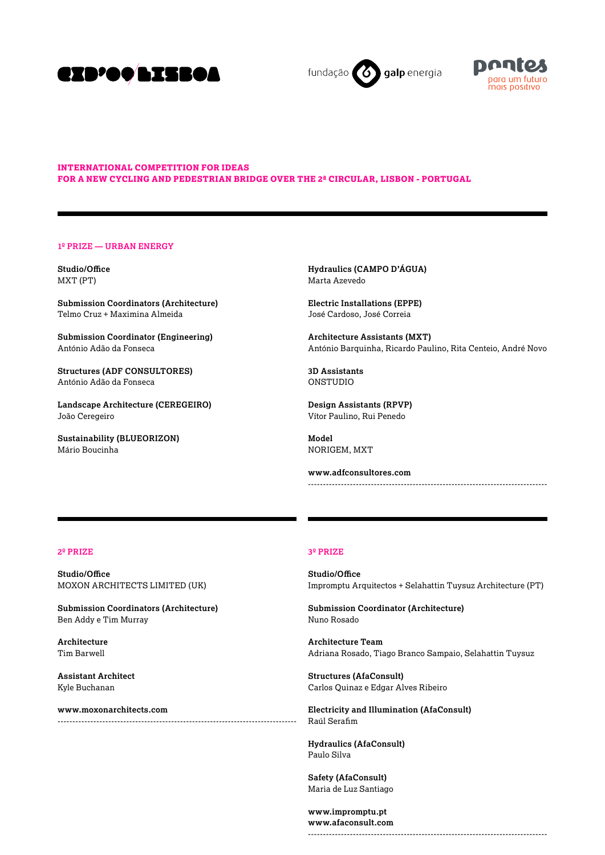

galp energia fundação



## **international competition for ideas for a new cycling and pedestrian bridge over the 2ª circular, Lisbon - Portugal**

#### **1º PRIZE — Urban Energy**

**Studio/Office** MXT (PT)

**Submission Coordinators (Architecture)** Telmo Cruz + Maximina Almeida

**Submission Coordinator (Engineering)** António Adão da Fonseca

**Structures (ADF CONSULTORES)** António Adão da Fonseca

**Landscape Architecture (CEREGEIRO)** João Ceregeiro

**Sustainability (BLUEORIZON)** Mário Boucinha

**Hydraulics (CAMPO D'ÁGUA)** Marta Azevedo

**Electric Installations (EPPE)** José Cardoso, José Correia

**Architecture Assistants (MXT)** António Barquinha, Ricardo Paulino, Rita Centeio, André Novo

**3D Assistants** ONSTUDIO

**Design Assistants (RPVP)** Vítor Paulino, Rui Penedo

**Model** NORIGEM, MXT

**www.adfconsultores.com** --------------------------------------------------------------------------------

# **2º PRIZE**

**Studio/Office** MOXON ARCHITECTS LIMITED (UK)

**Submission Coordinators (Architecture)** Ben Addy e Tim Murray

**Architecture** Tim Barwell

**Assistant Architect** Kyle Buchanan

**www.moxonarchitects.com** --------------------------------------------------------------------------------

## **3º PRIZE**

**Studio/Office** Impromptu Arquitectos + Selahattin Tuysuz Architecture (PT)

**Submission Coordinator (Architecture)** Nuno Rosado

**Architecture Team** Adriana Rosado, Tiago Branco Sampaio, Selahattin Tuysuz

**Structures (AfaConsult)** Carlos Quinaz e Edgar Alves Ribeiro

**Electricity and Illumination (AfaConsult)** Raúl Serafim

**Hydraulics (AfaConsult)** Paulo Silva

**Safety (AfaConsult)** Maria de Luz Santiago

**www.impromptu.pt www.afaconsult.com** --------------------------------------------------------------------------------